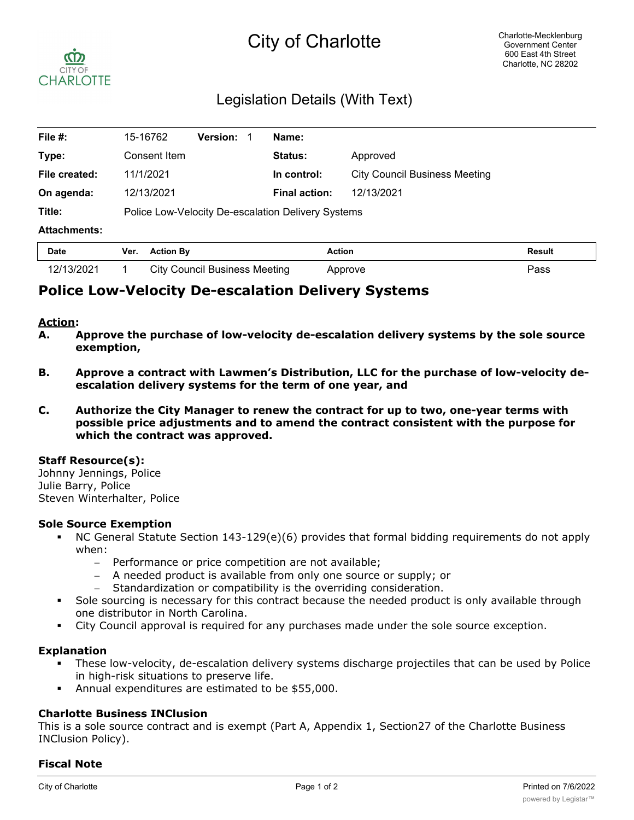# City of Charlotte



## Legislation Details (With Text)

| File #:             | 15-16762                                           | <b>Version:</b> | Name:                |                                      |               |
|---------------------|----------------------------------------------------|-----------------|----------------------|--------------------------------------|---------------|
| Type:               | Consent Item                                       |                 | <b>Status:</b>       | Approved                             |               |
| File created:       | 11/1/2021                                          |                 | In control:          | <b>City Council Business Meeting</b> |               |
| On agenda:          | 12/13/2021                                         |                 | <b>Final action:</b> | 12/13/2021                           |               |
| Title:              | Police Low-Velocity De-escalation Delivery Systems |                 |                      |                                      |               |
| <b>Attachments:</b> |                                                    |                 |                      |                                      |               |
| <b>Date</b>         | <b>Action By</b><br>Ver.                           |                 | <b>Action</b>        |                                      | <b>Result</b> |

### **Police Low-Velocity De-escalation Delivery Systems**

#### **Action:**

**A. Approve the purchase of low-velocity de-escalation delivery systems by the sole source exemption,**

12/13/2021 1 City Council Business Meeting Approve Pass

- **B. Approve a contract with Lawmen's Distribution, LLC for the purchase of low-velocity deescalation delivery systems for the term of one year, and**
- **C. Authorize the City Manager to renew the contract for up to two, one-year terms with possible price adjustments and to amend the contract consistent with the purpose for which the contract was approved.**

#### **Staff Resource(s):**

Johnny Jennings, Police Julie Barry, Police Steven Winterhalter, Police

#### **Sole Source Exemption**

- § NC General Statute Section 143-129(e)(6) provides that formal bidding requirements do not apply when:
	- Performance or price competition are not available;
	- A needed product is available from only one source or supply; or
	- Standardization or compatibility is the overriding consideration.
- Sole sourcing is necessary for this contract because the needed product is only available through one distributor in North Carolina.
- **•** City Council approval is required for any purchases made under the sole source exception.

#### **Explanation**

- § These low-velocity, de-escalation delivery systems discharge projectiles that can be used by Police in high-risk situations to preserve life.
- § Annual expenditures are estimated to be \$55,000.

#### **Charlotte Business INClusion**

This is a sole source contract and is exempt (Part A, Appendix 1, Section27 of the Charlotte Business INClusion Policy).

#### **Fiscal Note**